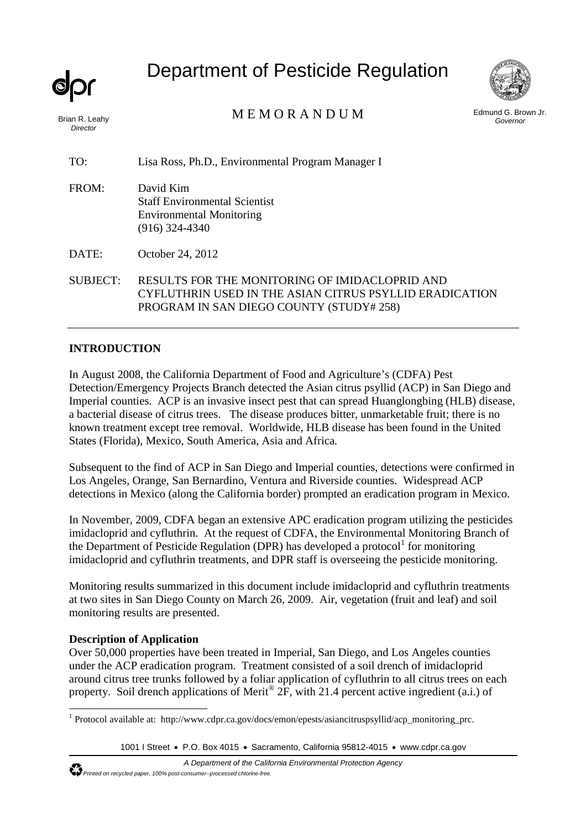*Director* 

Department of Pesticide Regulation



Brian R. Leahy MEMORANDUM

Edmund G. Brown Jr. *Governor* 

TO: Lisa Ross, Ph.D., Environmental Program Manager I

FROM: David Kim Staff Environmental Scientist Environmental Monitoring (916) 324-4340

DATE: October 24, 2012

SUBJECT: RESULTS FOR THE MONITORING OF IMIDACLOPRID AND CYFLUTHRIN USED IN THE ASIAN CITRUS PSYLLID ERADICATION PROGRAM IN SAN DIEGO COUNTY (STUDY# 258)

# **INTRODUCTION**

In August 2008, the California Department of Food and Agriculture's (CDFA) Pest Detection/Emergency Projects Branch detected the Asian citrus psyllid (ACP) in San Diego and Imperial counties. ACP is an invasive insect pest that can spread Huanglongbing (HLB) disease, a bacterial disease of citrus trees. The disease produces bitter, unmarketable fruit; there is no known treatment except tree removal. Worldwide, HLB disease has been found in the United States (Florida), Mexico, South America, Asia and Africa.

Subsequent to the find of ACP in San Diego and Imperial counties, detections were confirmed in Los Angeles, Orange, San Bernardino, Ventura and Riverside counties. Widespread ACP detections in Mexico (along the California border) prompted an eradication program in Mexico.

In November, 2009, CDFA began an extensive APC eradication program utilizing the pesticides imidacloprid and cyfluthrin. At the request of CDFA, the Environmental Monitoring Branch of the Department of Pesticide Regulation (DPR) has developed a protocol<sup>1</sup> for monitoring imidacloprid and cyfluthrin treatments, and DPR staff is overseeing the pesticide monitoring.

Monitoring results summarized in this document include imidacloprid and cyfluthrin treatments at two sites in San Diego County on March 26, 2009. Air, vegetation (fruit and leaf) and soil monitoring results are presented.

## **Description of Application**

Over 50,000 properties have been treated in Imperial, San Diego, and Los Angeles counties under the ACP eradication program. Treatment consisted of a soil drench of imidacloprid around citrus tree trunks followed by a foliar application of cyfluthrin to all citrus trees on each property. Soil drench applications of Merit<sup>®</sup> 2F, with 21.4 percent active ingredient (a.i.) of

<sup>1</sup> Protocol available at: http://www.cdpr.ca.gov/docs/emon/epests/asiancitruspsyllid/acp\_monitoring\_prc.

<sup>1001</sup> I Street • P.O. Box 4015 • Sacramento, California 95812-4015 • www.cdpr.ca.gov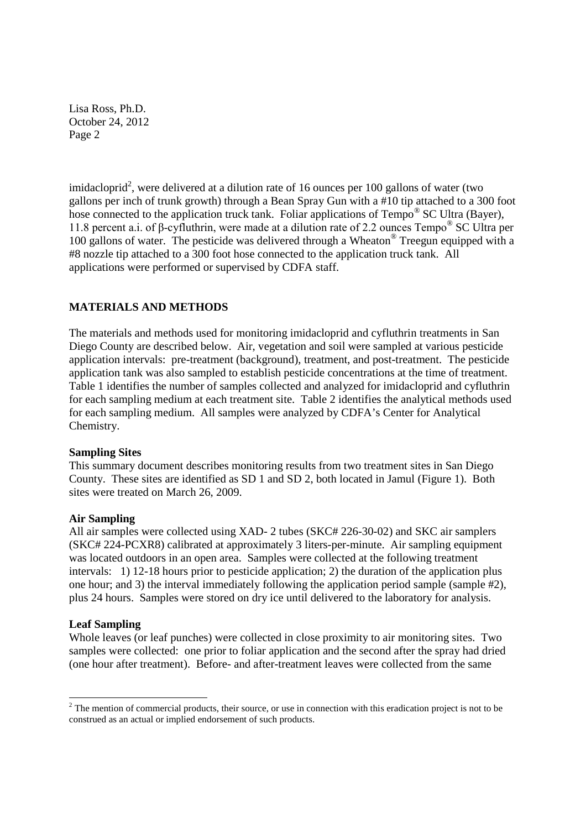imidacloprid<sup>2</sup>, were delivered at a dilution rate of 16 ounces per 100 gallons of water (two gallons per inch of trunk growth) through a Bean Spray Gun with a #10 tip attached to a 300 foot hose connected to the application truck tank. Foliar applications of Tempo<sup>®</sup> SC Ultra (Bayer), 11.8 percent a.i. of β-cyfluthrin, were made at a dilution rate of 2.2 ounces Tempo® SC Ultra per 100 gallons of water. The pesticide was delivered through a Wheaton® Treegun equipped with a #8 nozzle tip attached to a 300 foot hose connected to the application truck tank. All applications were performed or supervised by CDFA staff.

## **MATERIALS AND METHODS**

The materials and methods used for monitoring imidacloprid and cyfluthrin treatments in San Diego County are described below. Air, vegetation and soil were sampled at various pesticide application intervals: pre-treatment (background), treatment, and post-treatment. The pesticide application tank was also sampled to establish pesticide concentrations at the time of treatment. Table 1 identifies the number of samples collected and analyzed for imidacloprid and cyfluthrin for each sampling medium at each treatment site. Table 2 identifies the analytical methods used for each sampling medium. All samples were analyzed by CDFA's Center for Analytical Chemistry.

#### **Sampling Sites**

This summary document describes monitoring results from two treatment sites in San Diego County. These sites are identified as SD 1 and SD 2, both located in Jamul (Figure 1). Both sites were treated on March 26, 2009.

## **Air Sampling**

All air samples were collected using XAD- 2 tubes (SKC# 226-30-02) and SKC air samplers (SKC# 224-PCXR8) calibrated at approximately 3 liters-per-minute. Air sampling equipment was located outdoors in an open area. Samples were collected at the following treatment intervals: 1) 12-18 hours prior to pesticide application; 2) the duration of the application plus one hour; and 3) the interval immediately following the application period sample (sample #2), plus 24 hours. Samples were stored on dry ice until delivered to the laboratory for analysis.

#### **Leaf Sampling**

Whole leaves (or leaf punches) were collected in close proximity to air monitoring sites. Two samples were collected: one prior to foliar application and the second after the spray had dried (one hour after treatment). Before- and after-treatment leaves were collected from the same

<sup>&</sup>lt;sup>2</sup> The mention of commercial products, their source, or use in connection with this eradication project is not to be construed as an actual or implied endorsement of such products.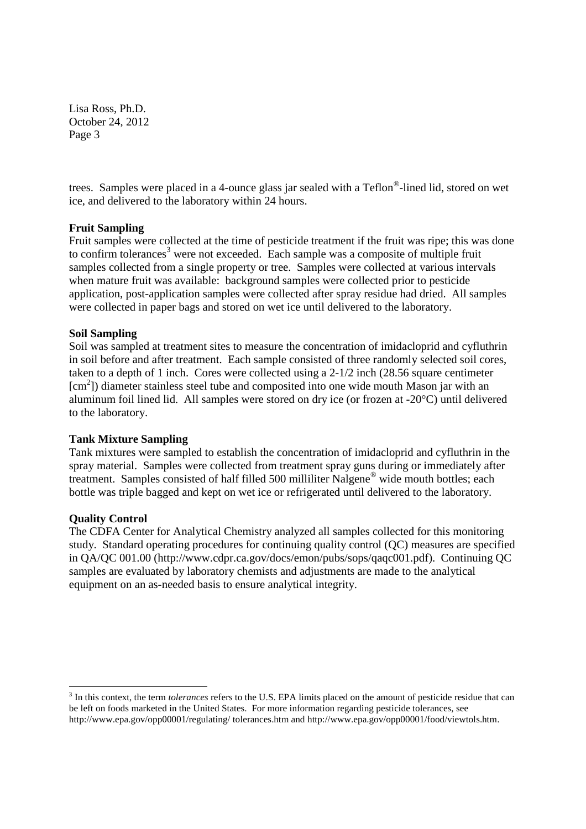trees. Samples were placed in a 4-ounce glass jar sealed with a Teflon®-lined lid, stored on wet ice, and delivered to the laboratory within 24 hours.

### **Fruit Sampling**

Fruit samples were collected at the time of pesticide treatment if the fruit was ripe; this was done to confirm tolerances<sup>3</sup> were not exceeded. Each sample was a composite of multiple fruit samples collected from a single property or tree. Samples were collected at various intervals when mature fruit was available: background samples were collected prior to pesticide application, post-application samples were collected after spray residue had dried. All samples were collected in paper bags and stored on wet ice until delivered to the laboratory.

### **Soil Sampling**

Soil was sampled at treatment sites to measure the concentration of imidacloprid and cyfluthrin in soil before and after treatment. Each sample consisted of three randomly selected soil cores, taken to a depth of 1 inch. Cores were collected using a 2-1/2 inch (28.56 square centimeter [cm<sup>2</sup>]) diameter stainless steel tube and composited into one wide mouth Mason jar with an aluminum foil lined lid. All samples were stored on dry ice (or frozen at -20°C) until delivered to the laboratory.

#### **Tank Mixture Sampling**

Tank mixtures were sampled to establish the concentration of imidacloprid and cyfluthrin in the spray material. Samples were collected from treatment spray guns during or immediately after treatment. Samples consisted of half filled 500 milliliter Nalgene® wide mouth bottles; each bottle was triple bagged and kept on wet ice or refrigerated until delivered to the laboratory.

#### **Quality Control**

The CDFA Center for Analytical Chemistry analyzed all samples collected for this monitoring study. Standard operating procedures for continuing quality control (QC) measures are specified in QA/QC 001.00 (http://www.cdpr.ca.gov/docs/emon/pubs/sops/qaqc001.pdf). Continuing QC samples are evaluated by laboratory chemists and adjustments are made to the analytical equipment on an as-needed basis to ensure analytical integrity.

<sup>3</sup> In this context, the term *tolerances* refers to the U.S. EPA limits placed on the amount of pesticide residue that can be left on foods marketed in the United States. For more information regarding pesticide tolerances, see http://www.epa.gov/opp00001/regulating/ tolerances.htm and http://www.epa.gov/opp00001/food/viewtols.htm.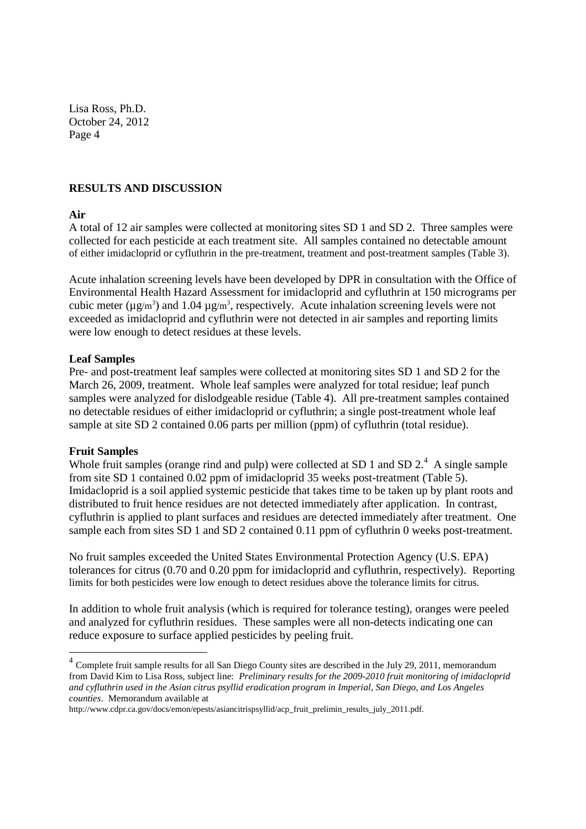## **RESULTS AND DISCUSSION**

#### **Air**

A total of 12 air samples were collected at monitoring sites SD 1 and SD 2. Three samples were collected for each pesticide at each treatment site. All samples contained no detectable amount of either imidacloprid or cyfluthrin in the pre-treatment, treatment and post-treatment samples (Table 3).

Acute inhalation screening levels have been developed by DPR in consultation with the Office of Environmental Health Hazard Assessment for imidacloprid and cyfluthrin at 150 micrograms per cubic meter ( $\mu$ g/m<sup>3</sup>) and 1.04  $\mu$ g/m<sup>3</sup>, respectively. Acute inhalation screening levels were not exceeded as imidacloprid and cyfluthrin were not detected in air samples and reporting limits were low enough to detect residues at these levels.

#### **Leaf Samples**

Pre- and post-treatment leaf samples were collected at monitoring sites SD 1 and SD 2 for the March 26, 2009, treatment. Whole leaf samples were analyzed for total residue; leaf punch samples were analyzed for dislodgeable residue (Table 4). All pre-treatment samples contained no detectable residues of either imidacloprid or cyfluthrin; a single post-treatment whole leaf sample at site SD 2 contained 0.06 parts per million (ppm) of cyfluthrin (total residue).

#### **Fruit Samples**

Whole fruit samples (orange rind and pulp) were collected at SD 1 and SD  $2<sup>4</sup>$  A single sample from site SD 1 contained 0.02 ppm of imidacloprid 35 weeks post-treatment (Table 5). Imidacloprid is a soil applied systemic pesticide that takes time to be taken up by plant roots and distributed to fruit hence residues are not detected immediately after application. In contrast, cyfluthrin is applied to plant surfaces and residues are detected immediately after treatment. One sample each from sites SD 1 and SD 2 contained 0.11 ppm of cyfluthrin 0 weeks post-treatment.

No fruit samples exceeded the United States Environmental Protection Agency (U.S. EPA) tolerances for citrus (0.70 and 0.20 ppm for imidacloprid and cyfluthrin, respectively). Reporting limits for both pesticides were low enough to detect residues above the tolerance limits for citrus.

In addition to whole fruit analysis (which is required for tolerance testing), oranges were peeled and analyzed for cyfluthrin residues. These samples were all non-detects indicating one can reduce exposure to surface applied pesticides by peeling fruit.

<sup>&</sup>lt;sup>4</sup> Complete fruit sample results for all San Diego County sites are described in the July 29, 2011, memorandum from David Kim to Lisa Ross, subject line: *Preliminary results for the 2009-2010 fruit monitoring of imidacloprid and cyfluthrin used in the Asian citrus psyllid eradication program in Imperial, San Diego, and Los Angeles counties*. Memorandum available at

http://www.cdpr.ca.gov/docs/emon/epests/asiancitrispsyllid/acp\_fruit\_prelimin\_results\_july\_2011.pdf.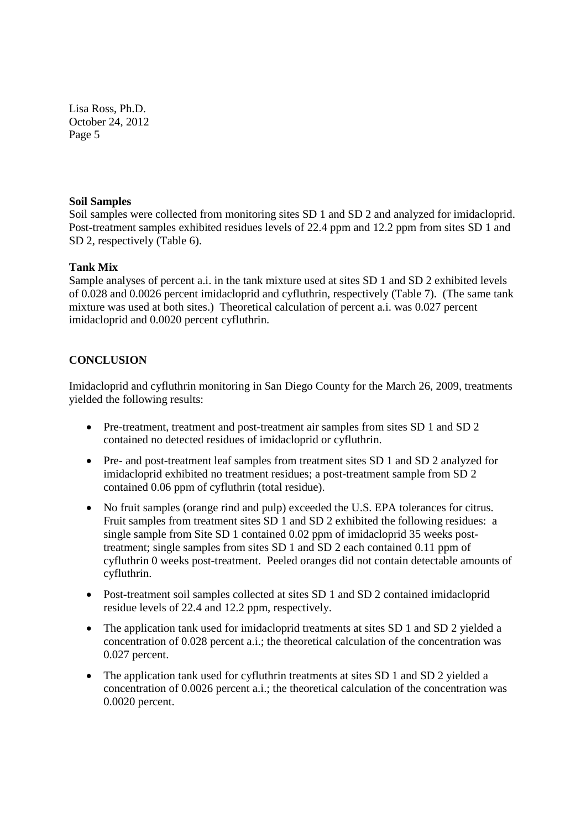#### **Soil Samples**

Soil samples were collected from monitoring sites SD 1 and SD 2 and analyzed for imidacloprid. Post-treatment samples exhibited residues levels of 22.4 ppm and 12.2 ppm from sites SD 1 and SD 2, respectively (Table 6).

### **Tank Mix**

Sample analyses of percent a.i. in the tank mixture used at sites SD 1 and SD 2 exhibited levels of 0.028 and 0.0026 percent imidacloprid and cyfluthrin, respectively (Table 7). (The same tank mixture was used at both sites.) Theoretical calculation of percent a.i. was 0.027 percent imidacloprid and 0.0020 percent cyfluthrin.

# **CONCLUSION**

Imidacloprid and cyfluthrin monitoring in San Diego County for the March 26, 2009, treatments yielded the following results:

- Pre-treatment, treatment and post-treatment air samples from sites SD 1 and SD 2 contained no detected residues of imidacloprid or cyfluthrin.
- Pre- and post-treatment leaf samples from treatment sites SD 1 and SD 2 analyzed for imidacloprid exhibited no treatment residues; a post-treatment sample from SD 2 contained 0.06 ppm of cyfluthrin (total residue).
- No fruit samples (orange rind and pulp) exceeded the U.S. EPA tolerances for citrus. Fruit samples from treatment sites SD 1 and SD 2 exhibited the following residues: a single sample from Site SD 1 contained 0.02 ppm of imidacloprid 35 weeks posttreatment; single samples from sites SD 1 and SD 2 each contained 0.11 ppm of cyfluthrin 0 weeks post-treatment. Peeled oranges did not contain detectable amounts of cyfluthrin.
- Post-treatment soil samples collected at sites SD 1 and SD 2 contained imidacloprid residue levels of 22.4 and 12.2 ppm, respectively.
- The application tank used for imidacloprid treatments at sites SD 1 and SD 2 yielded a concentration of 0.028 percent a.i.; the theoretical calculation of the concentration was 0.027 percent.
- The application tank used for cyfluthrin treatments at sites SD 1 and SD 2 yielded a concentration of 0.0026 percent a.i.; the theoretical calculation of the concentration was 0.0020 percent.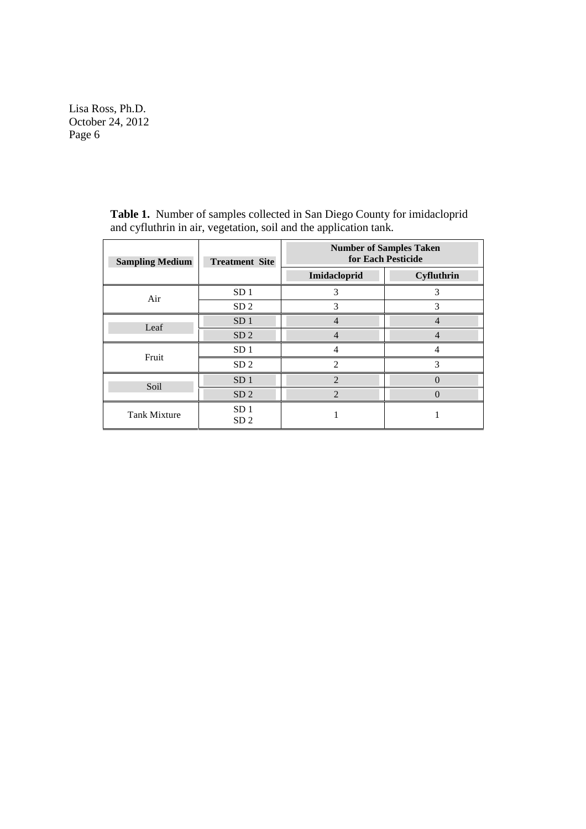| <b>Sampling Medium</b> | <b>Treatment Site</b>              | <b>Number of Samples Taken</b><br>for Each Pesticide |                |  |
|------------------------|------------------------------------|------------------------------------------------------|----------------|--|
|                        |                                    | Imidacloprid                                         | Cyfluthrin     |  |
| Air                    | SD <sub>1</sub>                    | 3                                                    | 3              |  |
|                        | SD <sub>2</sub>                    | 3                                                    | 3              |  |
| Leaf                   | SD <sub>1</sub>                    | $\overline{4}$                                       | $\overline{4}$ |  |
|                        | SD <sub>2</sub>                    |                                                      |                |  |
| Fruit                  | SD <sub>1</sub>                    |                                                      |                |  |
|                        | SD <sub>2</sub>                    | $\mathfrak{D}$                                       | 3              |  |
| Soil                   | SD <sub>1</sub>                    | $\mathfrak{D}$                                       | 0              |  |
|                        | SD <sub>2</sub>                    | $\mathfrak{D}$                                       |                |  |
| <b>Tank Mixture</b>    | SD <sub>1</sub><br>SD <sub>2</sub> |                                                      |                |  |

**Table 1.** Number of samples collected in San Diego County for imidacloprid and cyfluthrin in air, vegetation, soil and the application tank.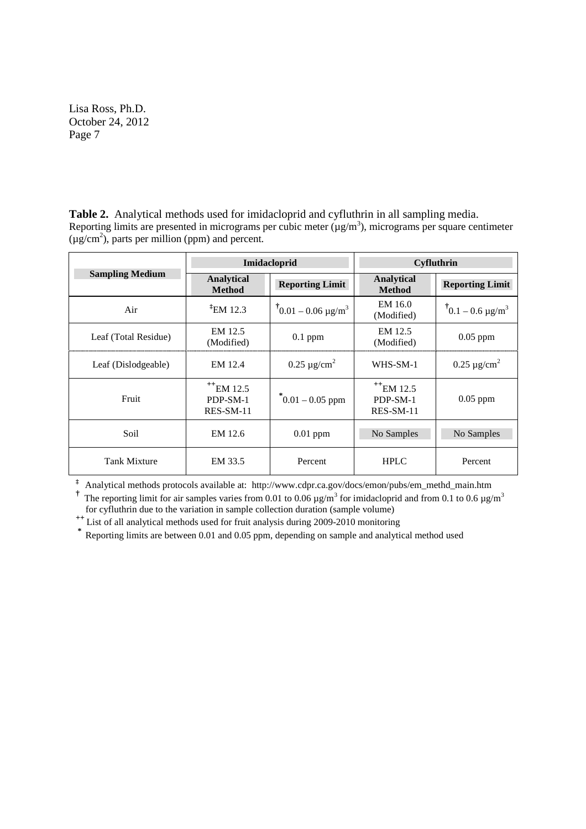**Table 2.** Analytical methods used for imidacloprid and cyfluthrin in all sampling media. Reporting limits are presented in micrograms per cubic meter  $(\mu g/m^3)$ , micrograms per square centimeter  $(\mu g/cm^2)$ , parts per million (ppm) and percent.

|                        |                                                      | Imidacloprid                  | Cyfluthrin                           |                                      |  |
|------------------------|------------------------------------------------------|-------------------------------|--------------------------------------|--------------------------------------|--|
| <b>Sampling Medium</b> | <b>Analytical</b><br><b>Method</b>                   | <b>Reporting Limit</b>        | <b>Analytical</b><br><b>Method</b>   | <b>Reporting Limit</b>               |  |
| Air                    | $E$ <sub>12.3</sub>                                  | $10.01 - 0.06 \text{ µg/m}^3$ | EM 16.0<br>(Modified)                | $\sqrt[7]{0.1} - 0.6 \text{ µg/m}^3$ |  |
| Leaf (Total Residue)   | EM 12.5<br>(Modified)                                | $0.1$ ppm                     | EM 12.5<br>(Modified)                | $0.05$ ppm                           |  |
| Leaf (Dislodgeable)    | EM 12.4                                              | $0.25 \mu$ g/cm <sup>2</sup>  | WHS-SM-1                             | $0.25 \mu$ g/cm <sup>2</sup>         |  |
| Fruit                  | $+$ <sup>++</sup> EM 12.5<br>PDP-SM-1<br>$RES-SM-11$ | $\mathrm{[0.01-0.05\ ppm]}$   | $+E$ M 12.5<br>PDP-SM-1<br>RES-SM-11 | $0.05$ ppm                           |  |
| Soil                   | EM 12.6                                              | $0.01$ ppm                    | No Samples                           | No Samples                           |  |
| <b>Tank Mixture</b>    | EM 33.5                                              | Percent                       | <b>HPLC</b>                          | Percent                              |  |

**‡** Analytical methods protocols available at: http://www.cdpr.ca.gov/docs/emon/pubs/em\_methd\_main.htm

<sup>†</sup> The reporting limit for air samples varies from 0.01 to 0.06  $\mu$ g/m<sup>3</sup> for imidacloprid and from 0.1 to 0.6  $\mu$ g/m<sup>3</sup> for cyfluthrin due to the variation in sample collection duration (sample volume)

for cyfluthrin due to the variation in sample collection duration (sample volume) **++** List of all analytical methods used for fruit analysis during 2009-2010 monitoring

\* **Reporting limits are between 0.01 and 0.05 ppm, depending on sample and analytical method used**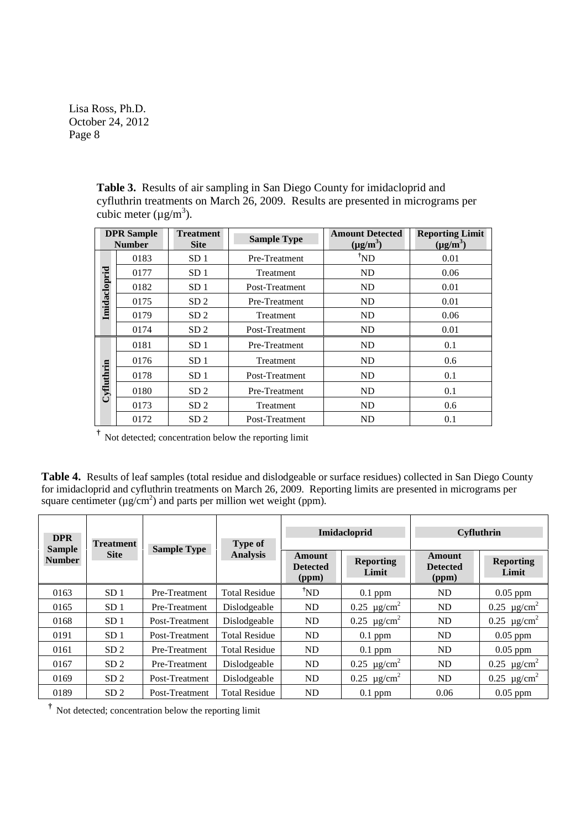| <b>DPR</b> Sample<br><b>Number</b> |      | <b>Treatment</b><br><b>Site</b> | <b>Sample Type</b> | <b>Amount Detected</b><br>$(\mu g/m^3)$ | <b>Reporting Limit</b><br>$(\mu g/m^3)$ |
|------------------------------------|------|---------------------------------|--------------------|-----------------------------------------|-----------------------------------------|
|                                    | 0183 | SD <sub>1</sub>                 | Pre-Treatment      | $^{\dagger}ND$                          | 0.01                                    |
|                                    | 0177 | SD <sub>1</sub>                 | Treatment          | ND                                      | 0.06                                    |
| Imidacloprid                       | 0182 | SD <sub>1</sub>                 | Post-Treatment     | ND                                      | 0.01                                    |
|                                    | 0175 | SD <sub>2</sub>                 | Pre-Treatment      | ND                                      | 0.01                                    |
|                                    | 0179 | SD <sub>2</sub>                 | Treatment          | ND                                      | 0.06                                    |
|                                    | 0174 | SD <sub>2</sub>                 | Post-Treatment     | ND                                      | 0.01                                    |
|                                    | 0181 | SD <sub>1</sub>                 | Pre-Treatment      | ND                                      | 0.1                                     |
|                                    | 0176 | SD <sub>1</sub>                 | Treatment          | ND                                      | 0.6                                     |
| Cyfluthrin                         | 0178 | SD <sub>1</sub>                 | Post-Treatment     | ND                                      | 0.1                                     |
|                                    | 0180 | SD <sub>2</sub>                 | Pre-Treatment      | ND                                      | 0.1                                     |
|                                    | 0173 | SD <sub>2</sub>                 | Treatment          | ND                                      | 0.6                                     |
|                                    | 0172 | SD <sub>2</sub>                 | Post-Treatment     | <b>ND</b>                               | 0.1                                     |

**Table 3.** Results of air sampling in San Diego County for imidacloprid and cyfluthrin treatments on March 26, 2009. Results are presented in micrograms per cubic meter  $(\mu g/m^3)$ .

**†** Not detected; concentration below the reporting limit

**Table 4.** Results of leaf samples (total residue and dislodgeable or surface residues) collected in San Diego County for imidacloprid and cyfluthrin treatments on March 26, 2009. Reporting limits are presented in micrograms per square centimeter ( $\mu$ g/cm<sup>2</sup>) and parts per million wet weight (ppm).

| <b>DPR</b><br><b>Treatment</b><br><b>Sample</b><br><b>Site</b><br><b>Number</b> |                 | <b>Sample Type</b> | <b>Type of</b>       | Imidacloprid                       |                                 | <b>Cyfluthrin</b>                  |                                 |
|---------------------------------------------------------------------------------|-----------------|--------------------|----------------------|------------------------------------|---------------------------------|------------------------------------|---------------------------------|
|                                                                                 |                 |                    | <b>Analysis</b>      | Amount<br><b>Detected</b><br>(ppm) | <b>Reporting</b><br>Limit       | Amount<br><b>Detected</b><br>(ppm) | <b>Reporting</b><br>Limit       |
| 0163                                                                            | SD <sub>1</sub> | Pre-Treatment      | <b>Total Residue</b> | $^{\dagger}ND$                     | $0.1$ ppm                       | ND                                 | $0.05$ ppm                      |
| 0165                                                                            | SD <sub>1</sub> | Pre-Treatment      | Dislodgeable         | ND                                 | $0.25 \text{ }\mu\text{g/cm}^2$ | ND                                 | $0.25 \text{ µg/cm}^2$          |
| 0168                                                                            | SD <sub>1</sub> | Post-Treatment     | Dislodgeable         | ND                                 | $0.25 \text{ }\mu\text{g/cm}^2$ | ND                                 | $0.25 \mu g/cm^2$               |
| 0191                                                                            | SD <sub>1</sub> | Post-Treatment     | <b>Total Residue</b> | ND                                 | $0.1$ ppm                       | ND                                 | $0.05$ ppm                      |
| 0161                                                                            | SD <sub>2</sub> | Pre-Treatment      | <b>Total Residue</b> | ND                                 | $0.1$ ppm                       | ND                                 | $0.05$ ppm                      |
| 0167                                                                            | SD <sub>2</sub> | Pre-Treatment      | Dislodgeable         | ND                                 | $0.25 \text{ }\mu\text{g/cm}^2$ | ND                                 | $0.25 \ \mu g/cm^2$             |
| 0169                                                                            | SD <sub>2</sub> | Post-Treatment     | Dislodgeable         | ND                                 | $0.25 \text{ }\mu\text{g/cm}^2$ | ND                                 | $0.25 \text{ }\mu\text{g/cm}^2$ |
| 0189                                                                            | SD <sub>2</sub> | Post-Treatment     | <b>Total Residue</b> | ND                                 | $0.1$ ppm                       | 0.06                               | $0.05$ ppm                      |

**†** Not detected; concentration below the reporting limit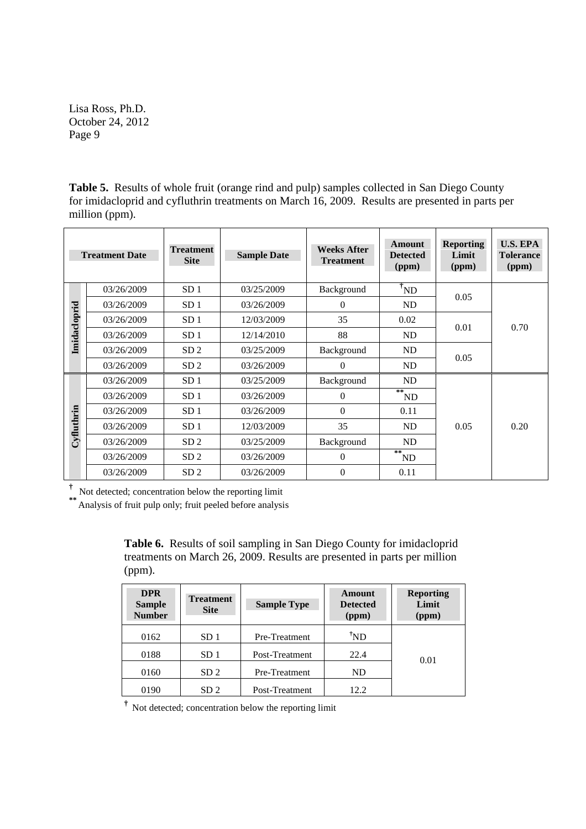**Table 5.** Results of whole fruit (orange rind and pulp) samples collected in San Diego County for imidacloprid and cyfluthrin treatments on March 16, 2009. Results are presented in parts per million (ppm).

|              | <b>Treatment Date</b> | <b>Treatment</b><br><b>Site</b> | <b>Sample Date</b> | <b>Weeks After</b><br><b>Treatment</b> | Amount<br><b>Detected</b><br>(ppm)  | <b>Reporting</b><br>Limit<br>(ppm) | <b>U.S. EPA</b><br><b>Tolerance</b><br>(ppm) |
|--------------|-----------------------|---------------------------------|--------------------|----------------------------------------|-------------------------------------|------------------------------------|----------------------------------------------|
|              | 03/26/2009            | SD <sub>1</sub>                 | 03/25/2009         | Background                             | $\mathrm{~}^{\ddagger} \mathrm{ND}$ | 0.05                               |                                              |
|              | 03/26/2009            | SD <sub>1</sub>                 | 03/26/2009         | 0                                      | ND                                  |                                    |                                              |
|              | 03/26/2009            | SD <sub>1</sub>                 | 12/03/2009         | 35                                     | 0.02                                | 0.01                               | 0.70                                         |
| Imidacloprid | 03/26/2009            | SD <sub>1</sub>                 | 12/14/2010         | 88                                     | ND                                  |                                    |                                              |
|              | 03/26/2009            | SD <sub>2</sub>                 | 03/25/2009         | Background                             | ND                                  | 0.05                               |                                              |
|              | 03/26/2009            | SD <sub>2</sub>                 | 03/26/2009         | 0                                      | ND                                  |                                    |                                              |
|              | 03/26/2009            | SD <sub>1</sub>                 | 03/25/2009         | Background                             | ND                                  |                                    |                                              |
|              | 03/26/2009            | SD <sub>1</sub>                 | 03/26/2009         | 0                                      | $**$<br>ND                          |                                    |                                              |
|              | 03/26/2009            | SD <sub>1</sub>                 | 03/26/2009         | 0                                      | 0.11                                |                                    |                                              |
| Cyfluthrin   | 03/26/2009            | SD <sub>1</sub>                 | 12/03/2009         | 35                                     | ND                                  | 0.05                               | 0.20                                         |
|              | 03/26/2009            | SD <sub>2</sub>                 | 03/25/2009         | Background                             | ND                                  |                                    |                                              |
|              | 03/26/2009            | SD <sub>2</sub>                 | 03/26/2009         | 0                                      | $**$<br>ND                          |                                    |                                              |
|              | 03/26/2009            | SD <sub>2</sub>                 | 03/26/2009         | $\overline{0}$                         | 0.11                                |                                    |                                              |

**†** Not detected; concentration below the reporting limit

**\*\*** Analysis of fruit pulp only; fruit peeled before analysis

**Table 6.** Results of soil sampling in San Diego County for imidacloprid treatments on March 26, 2009. Results are presented in parts per million (ppm).

| <b>DPR</b><br><b>Sample</b><br><b>Number</b> | <b>Treatment</b><br><b>Site</b> | <b>Sample Type</b> | Amount<br><b>Detected</b><br>(ppm) | <b>Reporting</b><br>Limit<br>(ppm) |
|----------------------------------------------|---------------------------------|--------------------|------------------------------------|------------------------------------|
| 0162                                         | SD <sub>1</sub>                 | Pre-Treatment      | <sup>ï</sup> ND                    |                                    |
| 0188                                         | SD <sub>1</sub>                 | Post-Treatment     | 22.4                               | 0.01                               |
| 0160                                         | SD <sub>2</sub>                 | Pre-Treatment      | ND                                 |                                    |
| 0190                                         | SD <sub>2</sub>                 | Post-Treatment     | 12.2                               |                                    |

**†** Not detected; concentration below the reporting limit